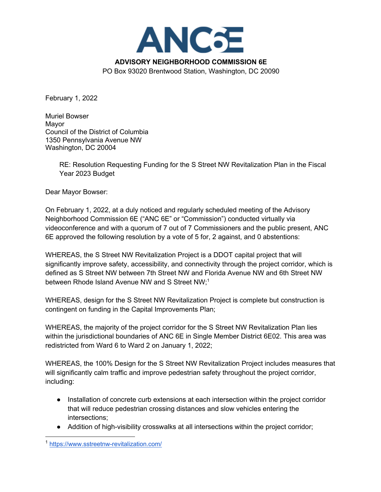

February 1, 2022

Muriel Bowser Mayor Council of the District of Columbia 1350 Pennsylvania Avenue NW Washington, DC 20004

> RE: Resolution Requesting Funding for the S Street NW Revitalization Plan in the Fiscal Year 2023 Budget

Dear Mayor Bowser:

On February 1, 2022, at a duly noticed and regularly scheduled meeting of the Advisory Neighborhood Commission 6E ("ANC 6E" or "Commission") conducted virtually via videoconference and with a quorum of 7 out of 7 Commissioners and the public present, ANC 6E approved the following resolution by a vote of 5 for, 2 against, and 0 abstentions:

WHEREAS, the S Street NW Revitalization Project is a DDOT capital project that will significantly improve safety, accessibility, and connectivity through the project corridor, which is defined as S Street NW between 7th Street NW and Florida Avenue NW and 6th Street NW between Rhode Island Avenue NW and S Street NW:<sup>1</sup>

WHEREAS, design for the S Street NW Revitalization Project is complete but construction is contingent on funding in the Capital Improvements Plan;

WHEREAS, the majority of the project corridor for the S Street NW Revitalization Plan lies within the jurisdictional boundaries of ANC 6E in Single Member District 6E02. This area was redistricted from Ward 6 to Ward 2 on January 1, 2022;

WHEREAS, the 100% Design for the S Street NW Revitalization Project includes measures that will significantly calm traffic and improve pedestrian safety throughout the project corridor, including:

- Installation of concrete curb extensions at each intersection within the project corridor that will reduce pedestrian crossing distances and slow vehicles entering the intersections;
- Addition of high-visibility crosswalks at all intersections within the project corridor;

<sup>1</sup> https://www.sstreetnw-revitalization.com/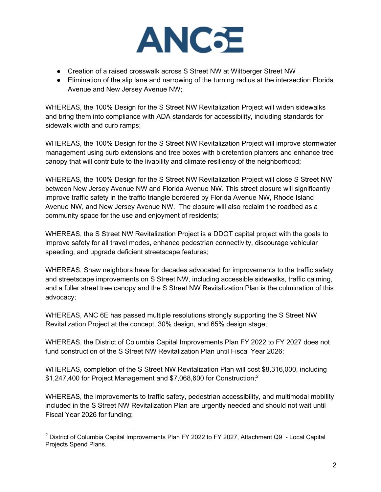

- Creation of a raised crosswalk across S Street NW at Wiltberger Street NW
- Elimination of the slip lane and narrowing of the turning radius at the intersection Florida Avenue and New Jersey Avenue NW;

WHEREAS, the 100% Design for the S Street NW Revitalization Project will widen sidewalks and bring them into compliance with ADA standards for accessibility, including standards for sidewalk width and curb ramps;

WHEREAS, the 100% Design for the S Street NW Revitalization Project will improve stormwater management using curb extensions and tree boxes with bioretention planters and enhance tree canopy that will contribute to the livability and climate resiliency of the neighborhood;

WHEREAS, the 100% Design for the S Street NW Revitalization Project will close S Street NW between New Jersey Avenue NW and Florida Avenue NW. This street closure will significantly improve traffic safety in the traffic triangle bordered by Florida Avenue NW, Rhode Island Avenue NW, and New Jersey Avenue NW. The closure will also reclaim the roadbed as a community space for the use and enjoyment of residents;

WHEREAS, the S Street NW Revitalization Project is a DDOT capital project with the goals to improve safety for all travel modes, enhance pedestrian connectivity, discourage vehicular speeding, and upgrade deficient streetscape features;

WHEREAS, Shaw neighbors have for decades advocated for improvements to the traffic safety and streetscape improvements on S Street NW, including accessible sidewalks, traffic calming, and a fuller street tree canopy and the S Street NW Revitalization Plan is the culmination of this advocacy;

WHEREAS, ANC 6E has passed multiple resolutions strongly supporting the S Street NW Revitalization Project at the concept, 30% design, and 65% design stage;

WHEREAS, the District of Columbia Capital Improvements Plan FY 2022 to FY 2027 does not fund construction of the S Street NW Revitalization Plan until Fiscal Year 2026;

WHEREAS, completion of the S Street NW Revitalization Plan will cost \$8,316,000, including \$1,247,400 for Project Management and \$7,068,600 for Construction;<sup>2</sup>

WHEREAS, the improvements to traffic safety, pedestrian accessibility, and multimodal mobility included in the S Street NW Revitalization Plan are urgently needed and should not wait until Fiscal Year 2026 for funding;

 $2$  District of Columbia Capital Improvements Plan FY 2022 to FY 2027, Attachment Q9 - Local Capital Projects Spend Plans.